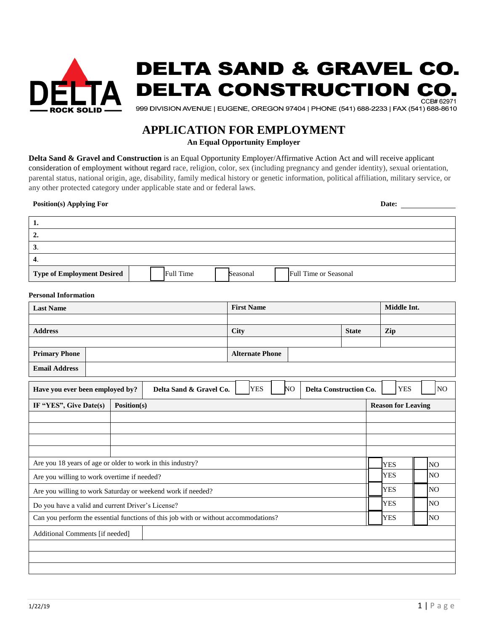

# **DELTA SAND & GRAVEL CO. DELTA CONSTRUCTION** CCB#62971

999 DIVISION AVENUE | EUGENE, OREGON 97404 | PHONE (541) 688-2233 | FAX (541) 688-8610

# **APPLICATION FOR EMPLOYMENT**

**An Equal Opportunity Employer** 

**Delta Sand & Gravel and Construction** is an Equal Opportunity Employer/Affirmative Action Act and will receive applicant consideration of employment without regard race, religion, color, sex (including pregnancy and gender identity), sexual orientation, parental status, national origin, age, disability, family medical history or genetic information, political affiliation, military service, or any other protected category under applicable state and or federal laws.

# **Position(s) Applying For Date:**

| л.                                |                  |          |                              |  |
|-----------------------------------|------------------|----------|------------------------------|--|
| ۵.                                |                  |          |                              |  |
| J.                                |                  |          |                              |  |
| 4.                                |                  |          |                              |  |
| <b>Type of Employment Desired</b> | <b>Full Time</b> | Seasonal | <b>Full Time or Seasonal</b> |  |

## **Personal Information**

| <b>Last Name</b>     |  | <b>First Name</b>      | Middle Int. |              |     |
|----------------------|--|------------------------|-------------|--------------|-----|
|                      |  |                        |             |              |     |
| <b>Address</b>       |  | City                   |             | <b>State</b> | Zip |
|                      |  |                        |             |              |     |
| <b>Primary Phone</b> |  | <b>Alternate Phone</b> |             |              |     |
| <b>Email Address</b> |  |                        |             |              |     |

| Have you ever been employed by?                                                     |             | Delta Sand & Gravel Co. | <b>YES</b> | NO | <b>Delta Construction Co.</b> |  | <b>YES</b>                | NO.       |
|-------------------------------------------------------------------------------------|-------------|-------------------------|------------|----|-------------------------------|--|---------------------------|-----------|
| IF "YES", Give Date(s)                                                              | Position(s) |                         |            |    |                               |  | <b>Reason for Leaving</b> |           |
|                                                                                     |             |                         |            |    |                               |  |                           |           |
|                                                                                     |             |                         |            |    |                               |  |                           |           |
|                                                                                     |             |                         |            |    |                               |  |                           |           |
|                                                                                     |             |                         |            |    |                               |  |                           |           |
| Are you 18 years of age or older to work in this industry?                          |             |                         |            |    |                               |  | <b>YES</b>                | INO       |
| Are you willing to work overtime if needed?                                         |             |                         |            |    |                               |  | <b>YES</b>                | <b>NO</b> |
| Are you willing to work Saturday or weekend work if needed?                         |             |                         |            |    |                               |  | <b>YES</b>                | <b>NO</b> |
| Do you have a valid and current Driver's License?                                   |             |                         |            |    |                               |  | <b>YES</b>                | <b>NO</b> |
| Can you perform the essential functions of this job with or without accommodations? |             |                         |            |    |                               |  | <b>YES</b>                | NO        |
| Additional Comments [if needed]                                                     |             |                         |            |    |                               |  |                           |           |
|                                                                                     |             |                         |            |    |                               |  |                           |           |
|                                                                                     |             |                         |            |    |                               |  |                           |           |
|                                                                                     |             |                         |            |    |                               |  |                           |           |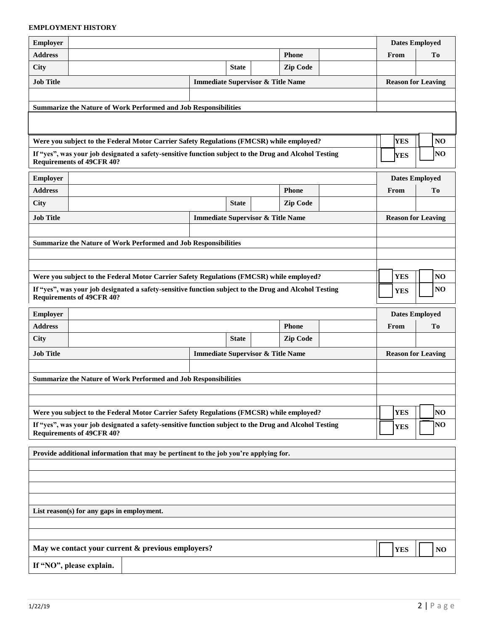# **EMPLOYMENT HISTORY**

| <b>Employer</b>                                                                                                                           |                                            |                                                                                                       |                                              |              |  |                       |                           | <b>Dates Employed</b>     |                 |                 |
|-------------------------------------------------------------------------------------------------------------------------------------------|--------------------------------------------|-------------------------------------------------------------------------------------------------------|----------------------------------------------|--------------|--|-----------------------|---------------------------|---------------------------|-----------------|-----------------|
| <b>Address</b>                                                                                                                            |                                            | Phone                                                                                                 |                                              |              |  | From                  |                           | Tо                        |                 |                 |
| <b>City</b>                                                                                                                               |                                            |                                                                                                       |                                              | <b>State</b> |  | <b>Zip Code</b>       |                           |                           |                 |                 |
| <b>Job Title</b>                                                                                                                          |                                            |                                                                                                       | <b>Immediate Supervisor &amp; Title Name</b> |              |  |                       |                           | <b>Reason for Leaving</b> |                 |                 |
|                                                                                                                                           |                                            |                                                                                                       |                                              |              |  |                       |                           |                           |                 |                 |
|                                                                                                                                           |                                            | Summarize the Nature of Work Performed and Job Responsibilities                                       |                                              |              |  |                       |                           |                           |                 |                 |
|                                                                                                                                           |                                            |                                                                                                       |                                              |              |  |                       |                           |                           |                 |                 |
|                                                                                                                                           |                                            | Were you subject to the Federal Motor Carrier Safety Regulations (FMCSR) while employed?              |                                              |              |  |                       |                           | <b>YES</b>                |                 | NO              |
|                                                                                                                                           | <b>Requirements of 49CFR 40?</b>           | If "yes", was your job designated a safety-sensitive function subject to the Drug and Alcohol Testing |                                              |              |  |                       |                           | <b>YES</b>                |                 | NO              |
| Employer                                                                                                                                  |                                            |                                                                                                       |                                              |              |  |                       |                           | <b>Dates Employed</b>     |                 |                 |
| <b>Address</b>                                                                                                                            |                                            |                                                                                                       |                                              |              |  | <b>Phone</b>          |                           | From                      |                 | T <sub>o</sub>  |
| <b>City</b>                                                                                                                               |                                            |                                                                                                       |                                              | <b>State</b> |  | <b>Zip Code</b>       |                           |                           |                 |                 |
| <b>Job Title</b>                                                                                                                          |                                            |                                                                                                       | <b>Immediate Supervisor &amp; Title Name</b> |              |  |                       |                           | <b>Reason for Leaving</b> |                 |                 |
|                                                                                                                                           |                                            |                                                                                                       |                                              |              |  |                       |                           |                           |                 |                 |
|                                                                                                                                           |                                            | <b>Summarize the Nature of Work Performed and Job Responsibilities</b>                                |                                              |              |  |                       |                           |                           |                 |                 |
|                                                                                                                                           |                                            |                                                                                                       |                                              |              |  |                       |                           |                           |                 |                 |
|                                                                                                                                           |                                            |                                                                                                       |                                              |              |  |                       |                           |                           |                 |                 |
|                                                                                                                                           |                                            | Were you subject to the Federal Motor Carrier Safety Regulations (FMCSR) while employed?              |                                              |              |  |                       |                           | <b>YES</b>                |                 | NO <sub>1</sub> |
| If "yes", was your job designated a safety-sensitive function subject to the Drug and Alcohol Testing<br><b>Requirements of 49CFR 40?</b> |                                            |                                                                                                       |                                              |              |  |                       | <b>YES</b>                |                           | NO <sub>1</sub> |                 |
| Employer                                                                                                                                  |                                            |                                                                                                       |                                              |              |  | <b>Dates Employed</b> |                           |                           |                 |                 |
| <b>Address</b>                                                                                                                            |                                            |                                                                                                       |                                              |              |  | <b>Phone</b>          |                           | From                      |                 | To              |
| <b>City</b>                                                                                                                               |                                            |                                                                                                       |                                              | <b>State</b> |  | <b>Zip Code</b>       |                           |                           |                 |                 |
| <b>Job Title</b>                                                                                                                          |                                            |                                                                                                       | <b>Immediate Supervisor &amp; Title Name</b> |              |  |                       | <b>Reason for Leaving</b> |                           |                 |                 |
|                                                                                                                                           |                                            |                                                                                                       |                                              |              |  |                       |                           |                           |                 |                 |
|                                                                                                                                           |                                            | <b>Summarize the Nature of Work Performed and Job Responsibilities</b>                                |                                              |              |  |                       |                           |                           |                 |                 |
|                                                                                                                                           |                                            |                                                                                                       |                                              |              |  |                       |                           |                           |                 |                 |
|                                                                                                                                           |                                            |                                                                                                       |                                              |              |  |                       |                           |                           |                 |                 |
|                                                                                                                                           |                                            | Were you subject to the Federal Motor Carrier Safety Regulations (FMCSR) while employed?              |                                              |              |  |                       |                           | <b>YES</b>                |                 | NO              |
|                                                                                                                                           | <b>Requirements of 49CFR 40?</b>           | If "yes", was your job designated a safety-sensitive function subject to the Drug and Alcohol Testing |                                              |              |  |                       |                           | <b>YES</b>                |                 | NO              |
|                                                                                                                                           |                                            | Provide additional information that may be pertinent to the job you're applying for.                  |                                              |              |  |                       |                           |                           |                 |                 |
|                                                                                                                                           |                                            |                                                                                                       |                                              |              |  |                       |                           |                           |                 |                 |
|                                                                                                                                           |                                            |                                                                                                       |                                              |              |  |                       |                           |                           |                 |                 |
|                                                                                                                                           |                                            |                                                                                                       |                                              |              |  |                       |                           |                           |                 |                 |
|                                                                                                                                           |                                            |                                                                                                       |                                              |              |  |                       |                           |                           |                 |                 |
|                                                                                                                                           | List reason(s) for any gaps in employment. |                                                                                                       |                                              |              |  |                       |                           |                           |                 |                 |
|                                                                                                                                           |                                            |                                                                                                       |                                              |              |  |                       |                           |                           |                 |                 |
|                                                                                                                                           |                                            | May we contact your current & previous employers?                                                     |                                              |              |  |                       |                           |                           |                 |                 |
|                                                                                                                                           |                                            |                                                                                                       |                                              |              |  |                       |                           | <b>YES</b>                |                 | NO              |
|                                                                                                                                           | If "NO", please explain.                   |                                                                                                       |                                              |              |  |                       |                           |                           |                 |                 |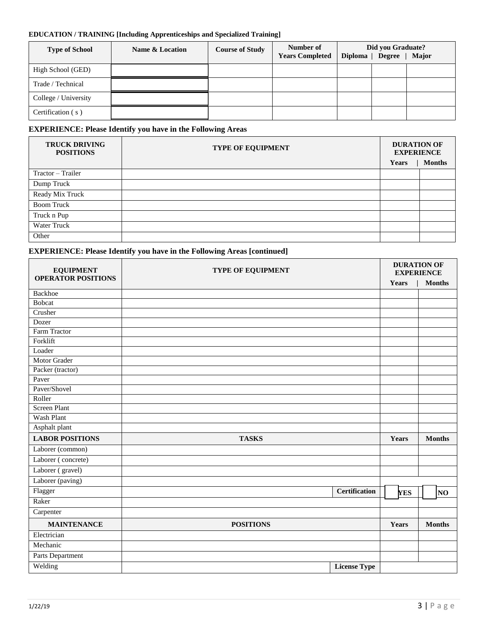## **EDUCATION / TRAINING [Including Apprenticeships and Specialized Training]**

| <b>Type of School</b> | Name & Location | <b>Course of Study</b> | Number of<br><b>Years Completed</b> | Diploma $ $ | Did you Graduate?<br>Degree | Major |
|-----------------------|-----------------|------------------------|-------------------------------------|-------------|-----------------------------|-------|
| High School (GED)     |                 |                        |                                     |             |                             |       |
| Trade / Technical     |                 |                        |                                     |             |                             |       |
| College / University  |                 |                        |                                     |             |                             |       |
| Certification (s)     |                 |                        |                                     |             |                             |       |

# **EXPERIENCE: Please Identify you have in the Following Areas**

| <b>TRUCK DRIVING</b><br><b>POSITIONS</b> | <b>TYPE OF EQUIPMENT</b> | <b>DURATION OF</b><br><b>EXPERIENCE</b><br><b>Months</b><br>Years |  |
|------------------------------------------|--------------------------|-------------------------------------------------------------------|--|
| Tractor – Trailer                        |                          |                                                                   |  |
| Dump Truck                               |                          |                                                                   |  |
| Ready Mix Truck                          |                          |                                                                   |  |
| <b>Boom Truck</b>                        |                          |                                                                   |  |
| Truck n Pup                              |                          |                                                                   |  |
| Water Truck                              |                          |                                                                   |  |
| Other                                    |                          |                                                                   |  |

# **EXPERIENCE: Please Identify you have in the Following Areas [continued]**

| <b>EQUIPMENT</b><br><b>OPERATOR POSITIONS</b> | <b>TYPE OF EQUIPMENT</b> |            | <b>DURATION OF</b><br><b>EXPERIENCE</b> |
|-----------------------------------------------|--------------------------|------------|-----------------------------------------|
|                                               |                          | Years      | <b>Months</b>                           |
| Backhoe                                       |                          |            |                                         |
| <b>Bobcat</b>                                 |                          |            |                                         |
| Crusher                                       |                          |            |                                         |
| Dozer                                         |                          |            |                                         |
| Farm Tractor                                  |                          |            |                                         |
| Forklift                                      |                          |            |                                         |
| Loader                                        |                          |            |                                         |
| Motor Grader                                  |                          |            |                                         |
| Packer (tractor)                              |                          |            |                                         |
| Paver                                         |                          |            |                                         |
| Paver/Shovel                                  |                          |            |                                         |
| Roller                                        |                          |            |                                         |
| <b>Screen Plant</b>                           |                          |            |                                         |
| Wash Plant                                    |                          |            |                                         |
| Asphalt plant                                 |                          |            |                                         |
| <b>LABOR POSITIONS</b>                        | <b>TASKS</b>             | Years      | <b>Months</b>                           |
| Laborer (common)                              |                          |            |                                         |
| Laborer (concrete)                            |                          |            |                                         |
| Laborer (gravel)                              |                          |            |                                         |
| Laborer (paving)                              |                          |            |                                         |
| Flagger                                       | <b>Certification</b>     | <b>YES</b> | NO                                      |
| Raker                                         |                          |            |                                         |
| Carpenter                                     |                          |            |                                         |
| <b>MAINTENANCE</b>                            | <b>POSITIONS</b>         | Years      | <b>Months</b>                           |
| Electrician                                   |                          |            |                                         |
| Mechanic                                      |                          |            |                                         |
| Parts Department                              |                          |            |                                         |
| Welding                                       | <b>License Type</b>      |            |                                         |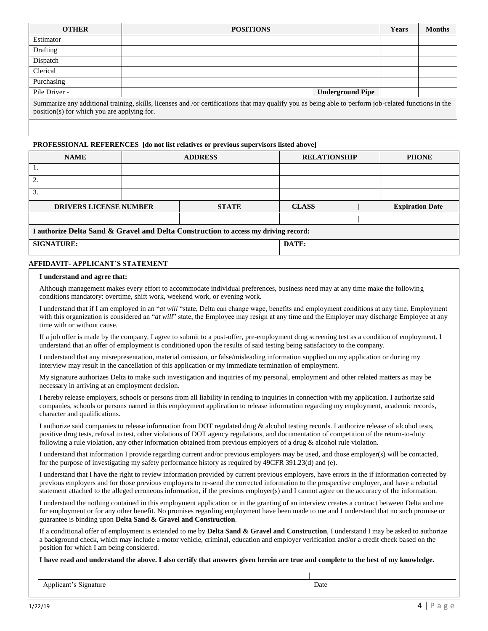| <b>OTHER</b>                                                                                                                                                                                         | <b>POSITIONS</b>        | <b>Years</b> | <b>Months</b> |  |  |
|------------------------------------------------------------------------------------------------------------------------------------------------------------------------------------------------------|-------------------------|--------------|---------------|--|--|
| Estimator                                                                                                                                                                                            |                         |              |               |  |  |
| Drafting                                                                                                                                                                                             |                         |              |               |  |  |
| Dispatch                                                                                                                                                                                             |                         |              |               |  |  |
| Clerical                                                                                                                                                                                             |                         |              |               |  |  |
| Purchasing                                                                                                                                                                                           |                         |              |               |  |  |
| Pile Driver -                                                                                                                                                                                        | <b>Underground Pipe</b> |              |               |  |  |
| Summarize any additional training, skills, licenses and /or certifications that may qualify you as being able to perform job-related functions in the<br>position(s) for which you are applying for. |                         |              |               |  |  |

#### **PROFESSIONAL REFERENCES [do not list relatives or previous supervisors listed above]**

| <b>NAME</b>                                                                         | <b>ADDRESS</b> |              | <b>RELATIONSHIP</b> |  | <b>PHONE</b>           |  |  |  |
|-------------------------------------------------------------------------------------|----------------|--------------|---------------------|--|------------------------|--|--|--|
|                                                                                     |                |              |                     |  |                        |  |  |  |
| ∍                                                                                   |                |              |                     |  |                        |  |  |  |
| 3.                                                                                  |                |              |                     |  |                        |  |  |  |
| <b>DRIVERS LICENSE NUMBER</b>                                                       |                | <b>STATE</b> | <b>CLASS</b>        |  | <b>Expiration Date</b> |  |  |  |
|                                                                                     |                |              |                     |  |                        |  |  |  |
| I authorize Delta Sand & Gravel and Delta Construction to access my driving record: |                |              |                     |  |                        |  |  |  |
| <b>SIGNATURE:</b>                                                                   |                |              | DATE:               |  |                        |  |  |  |

#### **AFFIDAVIT- APPLICANT'S STATEMENT**

#### **I understand and agree that:**

Although management makes every effort to accommodate individual preferences, business need may at any time make the following conditions mandatory: overtime, shift work, weekend work, or evening work.

I understand that if I am employed in an "*at will* "state, Delta can change wage, benefits and employment conditions at any time. Employment with this organization is considered an "*at will*" state, the Employee may resign at any time and the Employer may discharge Employee at any time with or without cause.

If a job offer is made by the company, I agree to submit to a post-offer, pre-employment drug screening test as a condition of employment. I understand that an offer of employment is conditioned upon the results of said testing being satisfactory to the company.

I understand that any misrepresentation, material omission, or false/misleading information supplied on my application or during my interview may result in the cancellation of this application or my immediate termination of employment.

My signature authorizes Delta to make such investigation and inquiries of my personal, employment and other related matters as may be necessary in arriving at an employment decision.

I hereby release employers, schools or persons from all liability in rending to inquiries in connection with my application. I authorize said companies, schools or persons named in this employment application to release information regarding my employment, academic records, character and qualifications.

I authorize said companies to release information from DOT regulated drug & alcohol testing records. I authorize release of alcohol tests, positive drug tests, refusal to test, other violations of DOT agency regulations, and documentation of competition of the return-to-duty following a rule violation, any other information obtained from previous employers of a drug & alcohol rule violation.

I understand that information I provide regarding current and/or previous employers may be used, and those employer(s) will be contacted, for the purpose of investigating my safety performance history as required by 49CFR 391.23(d) and (e).

I understand that I have the right to review information provided by current previous employers, have errors in the if information corrected by previous employers and for those previous employers to re-send the corrected information to the prospective employer, and have a rebuttal statement attached to the alleged erroneous information, if the previous employer(s) and I cannot agree on the accuracy of the information.

I understand the nothing contained in this employment application or in the granting of an interview creates a contract between Delta and me for employment or for any other benefit. No promises regarding employment have been made to me and I understand that no such promise or guarantee is binding upon **Delta Sand & Gravel and Construction**.

If a conditional offer of employment is extended to me by **Delta Sand & Gravel and Construction**, I understand I may be asked to authorize a background check, which may include a motor vehicle, criminal, education and employer verification and/or a credit check based on the position for which I am being considered.

**I have read and understand the above. I also certify that answers given herein are true and complete to the best of my knowledge.** 

| Applicant's Signature | <b>Date</b> |
|-----------------------|-------------|
|                       |             |

 **|**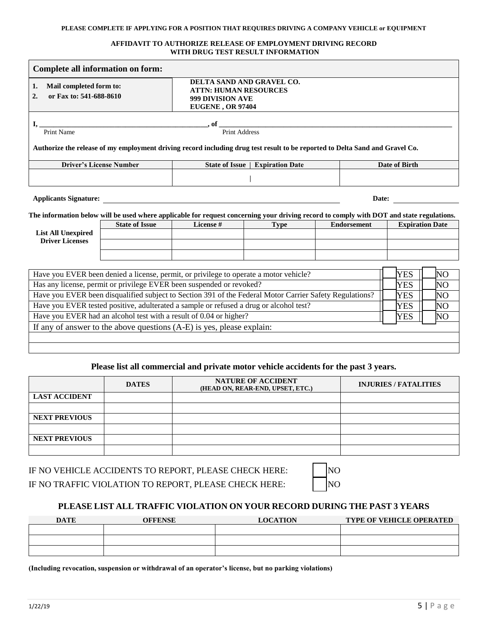#### **PLEASE COMPLETE IF APPLYING FOR A POSITION THAT REQUIRES DRIVING A COMPANY VEHICLE or EQUIPMENT**

#### **AFFIDAVIT TO AUTHORIZE RELEASE OF EMPLOYMENT DRIVING RECORD WITH DRUG TEST RESULT INFORMATION**

| Complete all information on form:                                                                                                                                                                                                                                                                                                                                                                                                                                                                                                                                                                      |                                |                                                                                                                                                       |                        |  |                    |                        |    |  |
|--------------------------------------------------------------------------------------------------------------------------------------------------------------------------------------------------------------------------------------------------------------------------------------------------------------------------------------------------------------------------------------------------------------------------------------------------------------------------------------------------------------------------------------------------------------------------------------------------------|--------------------------------|-------------------------------------------------------------------------------------------------------------------------------------------------------|------------------------|--|--------------------|------------------------|----|--|
| Mail completed form to:<br>1.<br>or Fax to: 541-688-8610<br>$\overline{2}$ .                                                                                                                                                                                                                                                                                                                                                                                                                                                                                                                           |                                | DELTA SAND AND GRAVEL CO.<br><b>ATTN: HUMAN RESOURCES</b><br>999 DIVISION AVE<br><b>EUGENE, OR 97404</b>                                              |                        |  |                    |                        |    |  |
| $\overline{\phantom{a}}$ , of $\overline{\phantom{a}}$ $\overline{\phantom{a}}$ $\overline{\phantom{a}}$ $\overline{\phantom{a}}$ $\overline{\phantom{a}}$ $\overline{\phantom{a}}$ $\overline{\phantom{a}}$ $\overline{\phantom{a}}$ $\overline{\phantom{a}}$ $\overline{\phantom{a}}$ $\overline{\phantom{a}}$ $\overline{\phantom{a}}$ $\overline{\phantom{a}}$ $\overline{\phantom{a}}$ $\overline{\phantom{a}}$ $\overline{\phantom{a}}$ $\overline{\phantom{a}}$<br>Authorize the release of my employment driving record including drug test result to be reported to Delta Sand and Gravel Co. |                                |                                                                                                                                                       |                        |  |                    |                        |    |  |
|                                                                                                                                                                                                                                                                                                                                                                                                                                                                                                                                                                                                        | <b>Driver's License Number</b> | State of Issue                                                                                                                                        | <b>Expiration Date</b> |  |                    | Date of Birth          |    |  |
|                                                                                                                                                                                                                                                                                                                                                                                                                                                                                                                                                                                                        |                                |                                                                                                                                                       |                        |  |                    |                        |    |  |
| <b>Applicants Signature:</b>                                                                                                                                                                                                                                                                                                                                                                                                                                                                                                                                                                           |                                |                                                                                                                                                       |                        |  | Date:              |                        |    |  |
|                                                                                                                                                                                                                                                                                                                                                                                                                                                                                                                                                                                                        | <b>State of Issue</b>          | The information below will be used where applicable for request concerning your driving record to comply with DOT and state regulations.<br>License # |                        |  | <b>Endorsement</b> |                        |    |  |
| <b>List All Unexpired</b><br><b>Driver Licenses</b>                                                                                                                                                                                                                                                                                                                                                                                                                                                                                                                                                    |                                |                                                                                                                                                       | <b>Type</b>            |  |                    | <b>Expiration Date</b> |    |  |
|                                                                                                                                                                                                                                                                                                                                                                                                                                                                                                                                                                                                        |                                |                                                                                                                                                       |                        |  |                    |                        |    |  |
|                                                                                                                                                                                                                                                                                                                                                                                                                                                                                                                                                                                                        |                                | Have you EVER been denied a license, permit, or privilege to operate a motor vehicle?                                                                 |                        |  |                    | <b>YES</b>             | NΟ |  |
|                                                                                                                                                                                                                                                                                                                                                                                                                                                                                                                                                                                                        |                                | Has any license, permit or privilege EVER been suspended or revoked?                                                                                  |                        |  |                    | <b>YES</b>             | NO |  |
|                                                                                                                                                                                                                                                                                                                                                                                                                                                                                                                                                                                                        |                                | Have you EVER been disqualified subject to Section 391 of the Federal Motor Carrier Safety Regulations?                                               |                        |  |                    | <b>YES</b>             | NO |  |
| Have you EVER tested positive, adulterated a sample or refused a drug or alcohol test?<br>NO<br><b>YES</b>                                                                                                                                                                                                                                                                                                                                                                                                                                                                                             |                                |                                                                                                                                                       |                        |  |                    |                        |    |  |
| Have you EVER had an alcohol test with a result of 0.04 or higher?<br>NO<br><b>YES</b>                                                                                                                                                                                                                                                                                                                                                                                                                                                                                                                 |                                |                                                                                                                                                       |                        |  |                    |                        |    |  |
| If any of answer to the above questions (A-E) is yes, please explain:                                                                                                                                                                                                                                                                                                                                                                                                                                                                                                                                  |                                |                                                                                                                                                       |                        |  |                    |                        |    |  |
|                                                                                                                                                                                                                                                                                                                                                                                                                                                                                                                                                                                                        |                                |                                                                                                                                                       |                        |  |                    |                        |    |  |
|                                                                                                                                                                                                                                                                                                                                                                                                                                                                                                                                                                                                        |                                |                                                                                                                                                       |                        |  |                    |                        |    |  |

# **Please list all commercial and private motor vehicle accidents for the past 3 years.**

|                      | <b>DATES</b> | <b>NATURE OF ACCIDENT</b><br>(HEAD ON, REAR-END, UPSET, ETC.) | <b>INJURIES / FATALITIES</b> |
|----------------------|--------------|---------------------------------------------------------------|------------------------------|
| <b>LAST ACCIDENT</b> |              |                                                               |                              |
|                      |              |                                                               |                              |
| <b>NEXT PREVIOUS</b> |              |                                                               |                              |
|                      |              |                                                               |                              |
| <b>NEXT PREVIOUS</b> |              |                                                               |                              |
|                      |              |                                                               |                              |

IF NO VEHICLE ACCIDENTS TO REPORT, PLEASE CHECK HERE: IF NO TRAFFIC VIOLATION TO REPORT, PLEASE CHECK HERE:

| Ñ |
|---|
| Ñ |

# **PLEASE LIST ALL TRAFFIC VIOLATION ON YOUR RECORD DURING THE PAST 3 YEARS**

| <b>DATE</b> | OFFENSE | <b>LOCATION</b> | <b>TYPE OF VEHICLE OPERATED</b> |  |
|-------------|---------|-----------------|---------------------------------|--|
|             |         |                 |                                 |  |
|             |         |                 |                                 |  |
|             |         |                 |                                 |  |

**(Including revocation, suspension or withdrawal of an operator's license, but no parking violations)**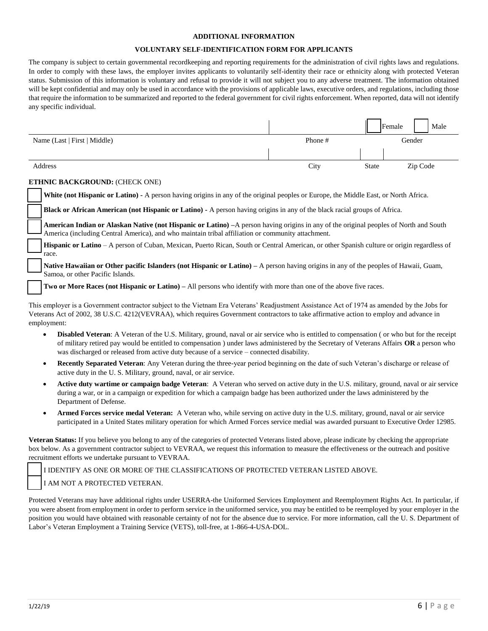#### **ADDITIONAL INFORMATION**

#### **VOLUNTARY SELF-IDENTIFICATION FORM FOR APPLICANTS**

The company is subject to certain governmental recordkeeping and reporting requirements for the administration of civil rights laws and regulations. In order to comply with these laws, the employer invites applicants to voluntarily self-identity their race or ethnicity along with protected Veteran status. Submission of this information is voluntary and refusal to provide it will not subject you to any adverse treatment. The information obtained will be kept confidential and may only be used in accordance with the provisions of applicable laws, executive orders, and regulations, including those that require the information to be summarized and reported to the federal government for civil rights enforcement. When reported, data will not identify any specific individual.

|                              |         |              | Male<br>Female |
|------------------------------|---------|--------------|----------------|
| Name (Last   First   Middle) | Phone # |              | Gender         |
|                              |         |              |                |
| Address                      | City    | <b>State</b> | Zip Code       |

#### **ETHNIC BACKGROUND:** (CHECK ONE)

**White (not Hispanic or Latino) -** A person having origins in any of the original peoples or Europe, the Middle East, or North Africa.

**Black or African American (not Hispanic or Latino) -** A person having origins in any of the black racial groups of Africa.

**American Indian or Alaskan Native (not Hispanic or Latino) –**A person having origins in any of the original peoples of North and South America (including Central America), and who maintain tribal affiliation or community attachment.

**Hispanic or Latino** – A person of Cuban, Mexican, Puerto Rican, South or Central American, or other Spanish culture or origin regardless of race.

Native Hawaiian or Other pacific Islanders (not Hispanic or Latino) – A person having origins in any of the peoples of Hawaii, Guam, Samoa, or other Pacific Islands.

**Two or More Races (not Hispanic or Latino) –** All persons who identify with more than one of the above five races.

This employer is a Government contractor subject to the Vietnam Era Veterans' Readjustment Assistance Act of 1974 as amended by the Jobs for Veterans Act of 2002, 38 U.S.C. 4212(VEVRAA), which requires Government contractors to take affirmative action to employ and advance in employment:

- **Disabled Veteran**: A Veteran of the U.S. Military, ground, naval or air service who is entitled to compensation ( or who but for the receipt of military retired pay would be entitled to compensation ) under laws administered by the Secretary of Veterans Affairs **OR** a person who was discharged or released from active duty because of a service – connected disability.
- **Recently Separated Veteran**: Any Veteran during the three-year period beginning on the date of such Veteran's discharge or release of active duty in the U. S. Military, ground, naval, or air service.
- **Active duty wartime or campaign badge Veteran**: A Veteran who served on active duty in the U.S. military, ground, naval or air service during a war, or in a campaign or expedition for which a campaign badge has been authorized under the laws administered by the Department of Defense.
- **Armed Forces service medal Veteran:** A Veteran who, while serving on active duty in the U.S. military, ground, naval or air service participated in a United States military operation for which Armed Forces service medial was awarded pursuant to Executive Order 12985.

**Veteran Status:** If you believe you belong to any of the categories of protected Veterans listed above, please indicate by checking the appropriate box below. As a government contractor subject to VEVRAA, we request this information to measure the effectiveness or the outreach and positive recruitment efforts we undertake pursuant to VEVRAA.

I IDENTIFY AS ONE OR MORE OF THE CLASSIFICATIONS OF PROTECTED VETERAN LISTED ABOVE.

### I AM NOT A PROTECTED VETERAN.

Protected Veterans may have additional rights under USERRA-the Uniformed Services Employment and Reemployment Rights Act. In particular, if you were absent from employment in order to perform service in the uniformed service, you may be entitled to be reemployed by your employer in the position you would have obtained with reasonable certainty of not for the absence due to service. For more information, call the U. S. Department of Labor's Veteran Employment a Training Service (VETS), toll-free, at 1-866-4-USA-DOL.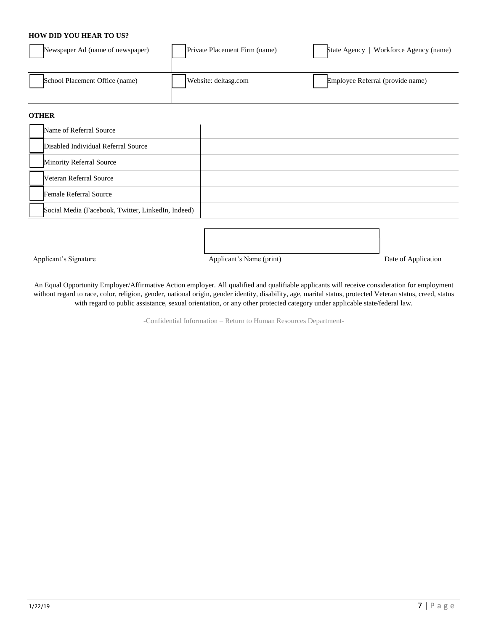## **HOW DID YOU HEAR TO US?**

| Newspaper Ad (name of newspaper) | Private Placement Firm (name) | Workforce Agency (name)<br><b>State Agency</b> |
|----------------------------------|-------------------------------|------------------------------------------------|
| School Placement Office (name)   | Website: deltasg.com          | Employee Referral (provide name)               |

## **OTHER**

| Name of Referral Source                            |  |
|----------------------------------------------------|--|
| Disabled Individual Referral Source                |  |
| Minority Referral Source                           |  |
| <b>Veteran Referral Source</b>                     |  |
| Female Referral Source                             |  |
| Social Media (Facebook, Twitter, LinkedIn, Indeed) |  |

Applicant's Signature Applicant's Name (print) Date of Application

An Equal Opportunity Employer/Affirmative Action employer. All qualified and qualifiable applicants will receive consideration for employment without regard to race, color, religion, gender, national origin, gender identity, disability, age, marital status, protected Veteran status, creed, status with regard to public assistance, sexual orientation, or any other protected category under applicable state/federal law.

-Confidential Information – Return to Human Resources Department-